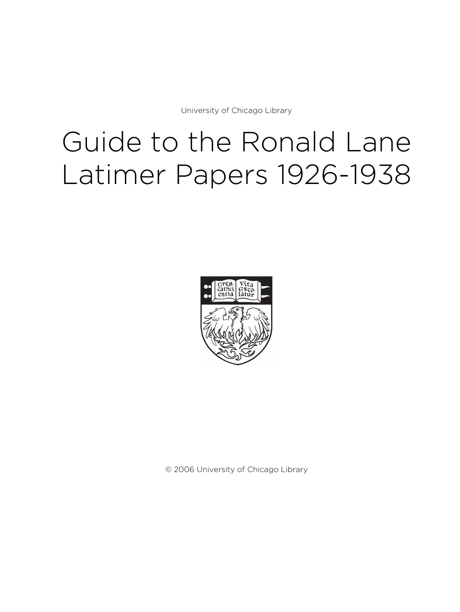University of Chicago Library

# Guide to the Ronald Lane Latimer Papers 1926-1938



© 2006 University of Chicago Library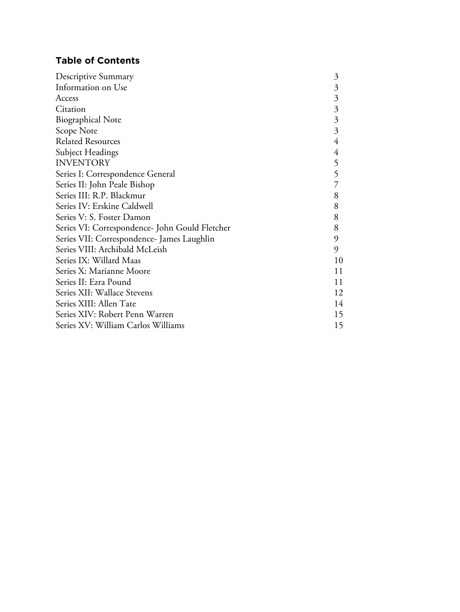# **Table of Contents**

| Descriptive Summary                            | 3  |
|------------------------------------------------|----|
| Information on Use                             | 3  |
| Access                                         | 3  |
| Citation                                       | 3  |
| <b>Biographical Note</b>                       | 3  |
| Scope Note                                     | 3  |
| <b>Related Resources</b>                       | 4  |
| Subject Headings                               | 4  |
| <b>INVENTORY</b>                               | 5  |
| Series I: Correspondence General               | 5  |
| Series II: John Peale Bishop                   |    |
| Series III: R.P. Blackmur                      | 8  |
| Series IV: Erskine Caldwell                    | 8  |
| Series V: S. Foster Damon                      | 8  |
| Series VI: Correspondence- John Gould Fletcher | 8  |
| Series VII: Correspondence- James Laughlin     | 9  |
| Series VIII: Archibald McLeish                 | 9  |
| Series IX: Willard Maas                        | 10 |
| Series X: Marianne Moore                       | 11 |
| Series II: Ezra Pound                          | 11 |
| Series XII: Wallace Stevens                    | 12 |
| Series XIII: Allen Tate                        | 14 |
| Series XIV: Robert Penn Warren                 | 15 |
| Series XV: William Carlos Williams             | 15 |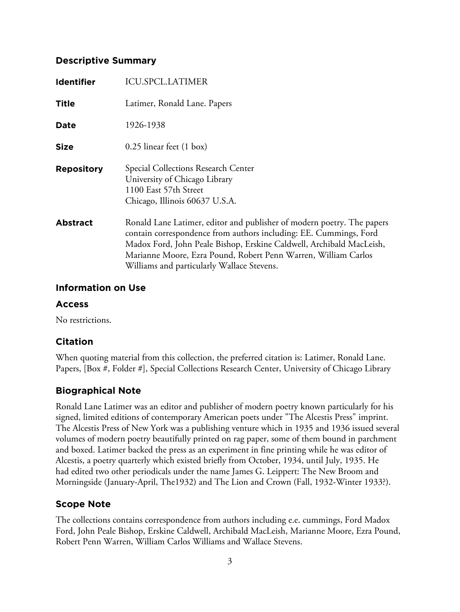# **Descriptive Summary**

| <b>Identifier</b> | <b>ICU.SPCL.LATIMER</b>                                                                                                                                                                                                                                                                                                             |
|-------------------|-------------------------------------------------------------------------------------------------------------------------------------------------------------------------------------------------------------------------------------------------------------------------------------------------------------------------------------|
| <b>Title</b>      | Latimer, Ronald Lane. Papers                                                                                                                                                                                                                                                                                                        |
| Date              | 1926-1938                                                                                                                                                                                                                                                                                                                           |
| <b>Size</b>       | $0.25$ linear feet $(1 \text{ box})$                                                                                                                                                                                                                                                                                                |
| <b>Repository</b> | Special Collections Research Center<br>University of Chicago Library<br>1100 East 57th Street<br>Chicago, Illinois 60637 U.S.A.                                                                                                                                                                                                     |
| <b>Abstract</b>   | Ronald Lane Latimer, editor and publisher of modern poetry. The papers<br>contain correspondence from authors including: EE. Cummings, Ford<br>Madox Ford, John Peale Bishop, Erskine Caldwell, Archibald MacLeish,<br>Marianne Moore, Ezra Pound, Robert Penn Warren, William Carlos<br>Williams and particularly Wallace Stevens. |

# **Information on Use**

# **Access**

No restrictions.

# **Citation**

When quoting material from this collection, the preferred citation is: Latimer, Ronald Lane. Papers, [Box #, Folder #], Special Collections Research Center, University of Chicago Library

# **Biographical Note**

Ronald Lane Latimer was an editor and publisher of modern poetry known particularly for his signed, limited editions of contemporary American poets under "The Alcestis Press" imprint. The Alcestis Press of New York was a publishing venture which in 1935 and 1936 issued several volumes of modern poetry beautifully printed on rag paper, some of them bound in parchment and boxed. Latimer backed the press as an experiment in fine printing while he was editor of Alcestis, a poetry quarterly which existed briefly from October, 1934, until July, 1935. He had edited two other periodicals under the name James G. Leippert: The New Broom and Morningside (January-April, The1932) and The Lion and Crown (Fall, 1932-Winter 1933?).

# **Scope Note**

The collections contains correspondence from authors including e.e. cummings, Ford Madox Ford, John Peale Bishop, Erskine Caldwell, Archibald MacLeish, Marianne Moore, Ezra Pound, Robert Penn Warren, William Carlos Williams and Wallace Stevens.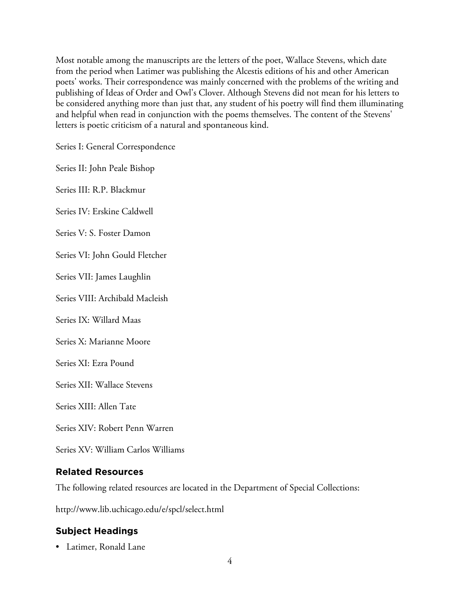Most notable among the manuscripts are the letters of the poet, Wallace Stevens, which date from the period when Latimer was publishing the Alcestis editions of his and other American poets' works. Their correspondence was mainly concerned with the problems of the writing and publishing of Ideas of Order and Owl's Clover. Although Stevens did not mean for his letters to be considered anything more than just that, any student of his poetry will find them illuminating and helpful when read in conjunction with the poems themselves. The content of the Stevens' letters is poetic criticism of a natural and spontaneous kind.

Series I: General Correspondence

Series II: John Peale Bishop

Series III: R.P. Blackmur

Series IV: Erskine Caldwell

Series V: S. Foster Damon

Series VI: John Gould Fletcher

Series VII: James Laughlin

Series VIII: Archibald Macleish

Series IX: Willard Maas

Series X: Marianne Moore

Series XI: Ezra Pound

Series XII: Wallace Stevens

Series XIII: Allen Tate

Series XIV: Robert Penn Warren

Series XV: William Carlos Williams

# **Related Resources**

The following related resources are located in the Department of Special Collections:

http://www.lib.uchicago.edu/e/spcl/select.html

# **Subject Headings**

• Latimer, Ronald Lane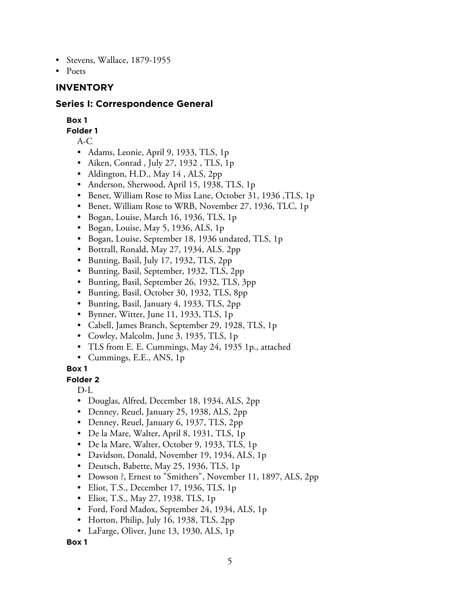- Stevens, Wallace, 1879-1955
- Poets

#### **INVENTORY**

#### **Series I: Correspondence General**

#### **Box 1**

**Folder 1**

A-C

- Adams, Leonie, April 9, 1933, TLS, 1p
- Aiken, Conrad , July 27, 1932 , TLS, 1p
- Aldington, H.D., May 14 , ALS, 2pp
- Anderson, Sherwood, April 15, 1938, TLS, 1p
- Benet, William Rose to Miss Lane, October 31, 1936 ,TLS, 1p
- Benet, William Rose to WRB, November 27, 1936, TLC, 1p
- Bogan, Louise, March 16, 1936, TLS, 1p
- Bogan, Louise, May 5, 1936, ALS, 1p
- Bogan, Louise, September 18, 1936 undated, TLS, 1p
- Bottrall, Ronald, May 27, 1934, ALS. 2pp
- Bunting, Basil, July 17, 1932, TLS, 2pp
- Bunting, Basil, September, 1932, TLS, 2pp
- Bunting, Basil, September 26, 1932, TLS, 3pp
- Bunting, Basil, October 30, 1932, TLS, 8pp
- Bunting, Basil, January 4, 1933, TLS, 2pp
- Bynner, Witter, June 11, 1933, TLS, 1p
- Cabell, James Branch, September 29, 1928, TLS, 1p
- Cowley, Malcolm, June 3, 1935, TLS, 1p
- TLS from E. E. Cummings, May 24, 1935 1p., attached
- Cummings, E.E., ANS, 1p

#### **Box 1**

**Folder 2**

D-L

- Douglas, Alfred, December 18, 1934, ALS, 2pp
- Denney, Reuel, January 25, 1938, ALS, 2pp
- Denney, Reuel, January 6, 1937, TLS, 2pp
- De la Mare, Walter, April 8, 1931, TLS, 1p
- De la Mare, Walter, October 9, 1933, TLS, 1p
- Davidson, Donald, November 19, 1934, ALS, 1p
- Deutsch, Babette, May 25, 1936, TLS, 1p
- Dowson ?, Ernest to "Smithers", November 11, 1897, ALS, 2pp
- Eliot, T.S., December 17, 1936, TLS, 1p
- Eliot, T.S., May 27, 1938, TLS, 1p
- Ford, Ford Madox, September 24, 1934, ALS, 1p
- Horton, Philip, July 16, 1938, TLS, 2pp
- LaFarge, Oliver, June 13, 1930, ALS, 1p

**Box 1**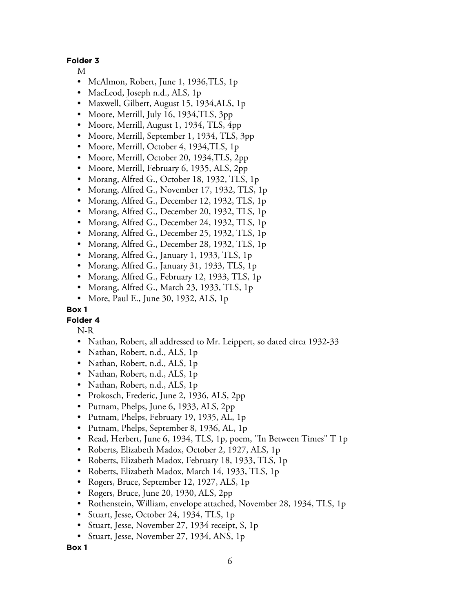#### **Folder 3**

- M
- McAlmon, Robert, June 1, 1936,TLS, 1p
- MacLeod, Joseph n.d., ALS, 1p
- Maxwell, Gilbert, August 15, 1934,ALS, 1p
- Moore, Merrill, July 16, 1934,TLS, 3pp
- Moore, Merrill, August 1, 1934, TLS, 4pp
- Moore, Merrill, September 1, 1934, TLS, 3pp
- Moore, Merrill, October 4, 1934,TLS, 1p
- Moore, Merrill, October 20, 1934,TLS, 2pp
- Moore, Merrill, February 6, 1935, ALS, 2pp
- Morang, Alfred G., October 18, 1932, TLS, 1p
- Morang, Alfred G., November 17, 1932, TLS, 1p
- Morang, Alfred G., December 12, 1932, TLS, 1p
- Morang, Alfred G., December 20, 1932, TLS, 1p
- Morang, Alfred G., December 24, 1932, TLS, 1p
- Morang, Alfred G., December 25, 1932, TLS, 1p
- Morang, Alfred G., December 28, 1932, TLS, 1p
- Morang, Alfred G., January 1, 1933, TLS, 1p
- Morang, Alfred G., January 31, 1933, TLS, 1p
- Morang, Alfred G., February 12, 1933, TLS, 1p
- Morang, Alfred G., March 23, 1933, TLS, 1p
- More, Paul E., June 30, 1932, ALS, 1p

#### **Box 1**

#### **Folder 4**

N-R

- Nathan, Robert, all addressed to Mr. Leippert, so dated circa 1932-33
- Nathan, Robert, n.d., ALS, 1p
- Nathan, Robert, n.d., ALS, 1p
- Nathan, Robert, n.d., ALS, 1p
- Nathan, Robert, n.d., ALS, 1p
- Prokosch, Frederic, June 2, 1936, ALS, 2pp
- Putnam, Phelps, June 6, 1933, ALS, 2pp
- Putnam, Phelps, February 19, 1935, AL, 1p
- Putnam, Phelps, September 8, 1936, AL, 1p
- Read, Herbert, June 6, 1934, TLS, 1p, poem, "In Between Times" T 1p
- Roberts, Elizabeth Madox, October 2, 1927, ALS, 1p
- Roberts, Elizabeth Madox, February 18, 1933, TLS, 1p
- Roberts, Elizabeth Madox, March 14, 1933, TLS, 1p
- Rogers, Bruce, September 12, 1927, ALS, 1p
- Rogers, Bruce, June 20, 1930, ALS, 2pp
- Rothenstein, William, envelope attached, November 28, 1934, TLS, 1p
- Stuart, Jesse, October 24, 1934, TLS, 1p
- Stuart, Jesse, November 27, 1934 receipt, S, 1p
- Stuart, Jesse, November 27, 1934, ANS, 1p

**Box 1**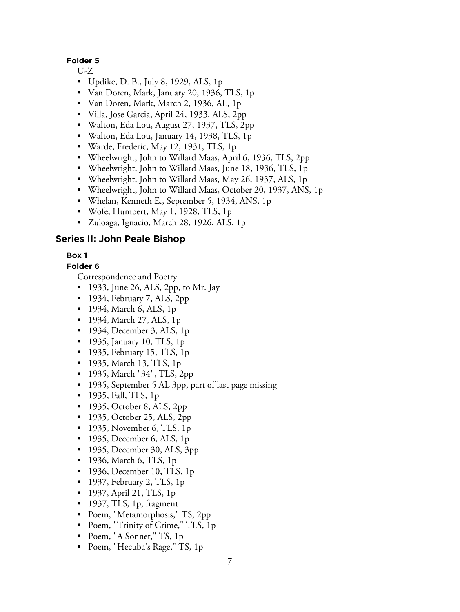#### **Folder 5**

U-Z

- Updike, D. B., July 8, 1929, ALS, 1p
- Van Doren, Mark, January 20, 1936, TLS, 1p
- Van Doren, Mark, March 2, 1936, AL, 1p
- Villa, Jose Garcia, April 24, 1933, ALS, 2pp
- Walton, Eda Lou, August 27, 1937, TLS, 2pp
- Walton, Eda Lou, January 14, 1938, TLS, 1p
- Warde, Frederic, May 12, 1931, TLS, 1p
- Wheelwright, John to Willard Maas, April 6, 1936, TLS, 2pp
- Wheelwright, John to Willard Maas, June 18, 1936, TLS, 1p
- Wheelwright, John to Willard Maas, May 26, 1937, ALS, 1p
- Wheelwright, John to Willard Maas, October 20, 1937, ANS, 1p
- Whelan, Kenneth E., September 5, 1934, ANS, 1p
- Wofe, Humbert, May 1, 1928, TLS, 1p
- Zuloaga, Ignacio, March 28, 1926, ALS, 1p

## **Series II: John Peale Bishop**

# **Box 1**

#### **Folder 6**

- 1933, June 26, ALS, 2pp, to Mr. Jay
- 1934, February 7, ALS, 2pp
- 1934, March 6, ALS, 1<sub>p</sub>
- 1934, March 27, ALS, 1<sub>p</sub>
- 1934, December 3, ALS, 1p
- 1935, January 10, TLS, 1p
- 1935, February 15, TLS, 1p
- 1935, March 13, TLS, 1p
- 1935, March "34", TLS, 2pp
- 1935, September 5 AL 3pp, part of last page missing
- 1935, Fall, TLS, 1p
- 1935, October 8, ALS, 2pp
- 1935, October 25, ALS, 2pp
- 1935, November 6, TLS, 1p
- 1935, December 6, ALS, 1p
- 1935, December 30, ALS, 3pp
- 1936, March 6, TLS, 1p
- 1936, December 10, TLS, 1p
- 1937, February 2, TLS, 1p
- 1937, April 21, TLS, 1p
- 1937, TLS, 1p, fragment
- Poem, "Metamorphosis," TS, 2pp
- Poem, "Trinity of Crime," TLS, 1p
- Poem, "A Sonnet," TS, 1p
- Poem, "Hecuba's Rage," TS, 1p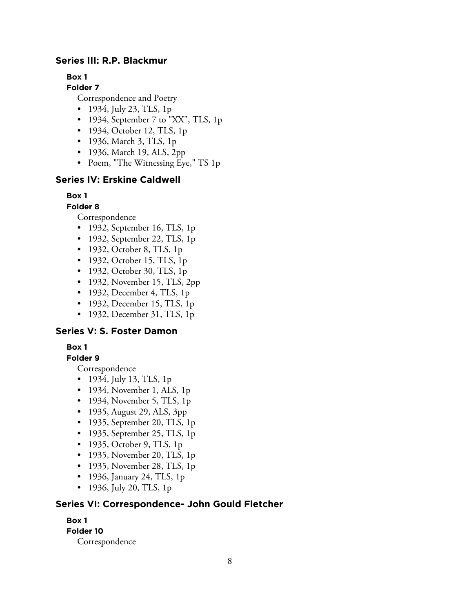# **Series III: R.P. Blackmur**

**Box 1**

**Folder 7**

Correspondence and Poetry

- 1934, July 23, TLS, 1p
- 1934, September 7 to "XX", TLS, 1p
- 1934, October 12, TLS, 1p
- 1936, March 3, TLS, 1p
- 1936, March 19, ALS, 2pp
- Poem, "The Witnessing Eye," TS 1p

#### **Series IV: Erskine Caldwell**

#### **Box 1**

#### **Folder 8**

Correspondence

- 1932, September 16, TLS, 1p
- 1932, September 22, TLS, 1p
- 1932, October 8, TLS, 1p
- 1932, October 15, TLS, 1p
- 1932, October 30, TLS, 1p
- 1932, November 15, TLS, 2pp
- 1932, December 4, TLS, 1p
- 1932, December 15, TLS, 1p
- 1932, December 31, TLS, 1p

# **Series V: S. Foster Damon**

#### **Box 1**

#### **Folder 9**

Correspondence

- 1934, July 13, TLS, 1p
- 1934, November 1, ALS, 1p
- 1934, November 5, TLS, 1p
- 1935, August 29, ALS, 3pp
- 1935, September 20, TLS, 1p
- 1935, September 25, TLS, 1p
- 1935, October 9, TLS, 1p
- 1935, November 20, TLS, 1p
- 1935, November 28, TLS, 1p
- 1936, January 24, TLS, 1p
- 1936, July 20, TLS, 1p

# **Series VI: Correspondence- John Gould Fletcher**

# **Box 1 Folder 10** Correspondence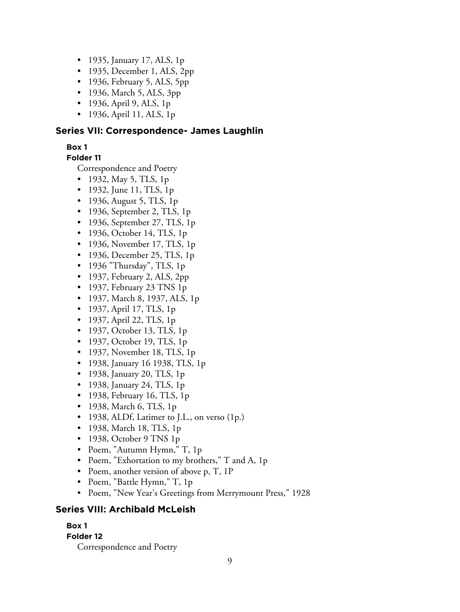- 1935, January 17, ALS, 1p
- 1935, December 1, ALS, 2pp
- 1936, February 5, ALS, 5pp
- 1936, March 5, ALS, 3pp
- 1936, April 9, ALS, 1p
- 1936, April 11, ALS, 1p

# **Series VII: Correspondence- James Laughlin**

## **Box 1**

**Folder 11**

Correspondence and Poetry

- 1932, May 5, TLS, 1p
- 1932, June 11, TLS, 1p
- 1936, August 5, TLS, 1p
- 1936, September 2, TLS, 1p
- 1936, September 27, TLS, 1p
- 1936, October 14, TLS, 1p
- 1936, November 17, TLS, 1p
- 1936, December 25, TLS, 1p
- 1936 "Thursday", TLS, 1p
- 1937, February 2, ALS, 2pp
- 1937, February 23 TNS 1p
- 1937, March 8, 1937, ALS, 1p
- 1937, April 17, TLS, 1p
- 1937, April 22, TLS, 1p
- 1937, October 13, TLS, 1p
- 1937, October 19, TLS, 1p
- 1937, November 18, TLS, 1p
- 1938, January 16 1938, TLS, 1p
- 1938, January 20, TLS, 1p
- 1938, January 24, TLS, 1p
- 1938, February 16, TLS, 1p
- 1938, March 6, TLS, 1p
- 1938, ALDf, Latimer to J.L., on verso (1p.)
- 1938, March 18, TLS, 1p
- 1938, October 9 TNS 1p
- Poem, "Autumn Hymn," T, 1p
- Poem, "Exhortation to my brothers," T and A, 1p
- Poem, another version of above p, T, 1P
- Poem, "Battle Hymn," T, 1p
- Poem, "New Year's Greetings from Merrymount Press," 1928

# **Series VIII: Archibald McLeish**

## **Box 1**

## **Folder 12**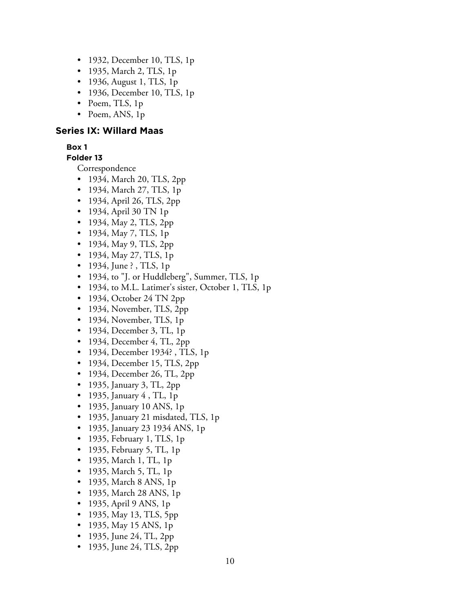- 1932, December 10, TLS, 1p
- 1935, March 2, TLS, 1p
- 1936, August 1, TLS, 1p
- 1936, December 10, TLS, 1p
- Poem, TLS, 1p
- Poem, ANS, 1p

#### **Series IX: Willard Maas**

#### **Box 1**

## **Folder 13**

Correspondence

- 1934, March 20, TLS, 2pp
- 1934, March 27, TLS, 1p
- 1934, April 26, TLS, 2pp
- 1934, April 30 TN 1p
- 1934, May 2, TLS, 2pp
- 1934, May 7, TLS, 1p
- 1934, May 9, TLS, 2pp
- 1934, May 27, TLS, 1p
- 1934, June ?, TLS, 1p
- 1934, to "J. or Huddleberg", Summer, TLS, 1p
- 1934, to M.L. Latimer's sister, October 1, TLS, 1p
- 1934, October 24 TN 2pp
- 1934, November, TLS, 2pp
- 1934, November, TLS, 1p
- 1934, December 3, TL, 1p
- 1934, December 4, TL, 2pp
- 1934, December 1934?, TLS, 1p
- 1934, December 15, TLS, 2pp
- 1934, December 26, TL, 2pp
- 1935, January 3, TL, 2pp
- 1935, January 4 , TL, 1p
- 1935, January 10 ANS, 1p
- 1935, January 21 misdated, TLS, 1p
- 1935, January 23 1934 ANS, 1p
- 1935, February 1, TLS, 1p
- 1935, February 5, TL, 1p
- 1935, March 1, TL, 1p
- 1935, March 5, TL, 1p
- 1935, March 8 ANS, 1<sub>p</sub>
- 1935, March 28 ANS, 1p
- 1935, April 9 ANS, 1p
- 1935, May 13, TLS, 5pp
- 1935, May 15 ANS, 1p
- 1935, June 24, TL, 2pp
- 1935, June 24, TLS, 2pp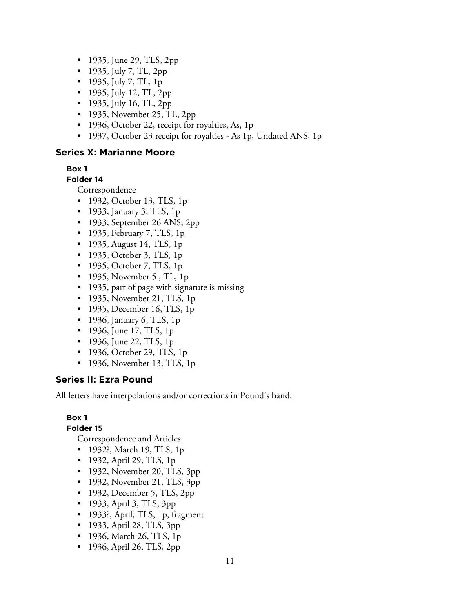- 1935, June 29, TLS, 2pp
- 1935, July 7, TL, 2pp
- 1935, July 7, TL, 1p
- 1935, July 12, TL, 2pp
- 1935, July 16, TL, 2pp
- 1935, November 25, TL, 2pp
- 1936, October 22, receipt for royalties, As, 1p
- 1937, October 23 receipt for royalties As 1p, Undated ANS, 1p

# **Series X: Marianne Moore**

#### **Box 1**

#### **Folder 14**

Correspondence

- 1932, October 13, TLS, 1p
- 1933, January 3, TLS, 1p
- 1933, September 26 ANS, 2pp
- 1935, February 7, TLS, 1p
- 1935, August 14, TLS, 1p
- 1935, October 3, TLS, 1p
- 1935, October 7, TLS, 1p
- 1935, November 5, TL, 1p
- 1935, part of page with signature is missing
- 1935, November 21, TLS, 1p
- 1935, December 16, TLS, 1p
- 1936, January 6, TLS, 1p
- 1936, June 17, TLS, 1p
- 1936, June 22, TLS, 1p
- 1936, October 29, TLS, 1p
- 1936, November 13, TLS, 1p

#### **Series II: Ezra Pound**

All letters have interpolations and/or corrections in Pound's hand.

# **Box 1**

#### **Folder 15**

Correspondence and Articles

- 1932?, March 19, TLS, 1p
- 1932, April 29, TLS, 1p
- 1932, November 20, TLS, 3pp
- 1932, November 21, TLS, 3pp
- 1932, December 5, TLS, 2pp
- 1933, April 3, TLS, 3pp
- 1933?, April, TLS, 1p, fragment
- 1933, April 28, TLS, 3pp
- 1936, March 26, TLS, 1p
- 1936, April 26, TLS, 2pp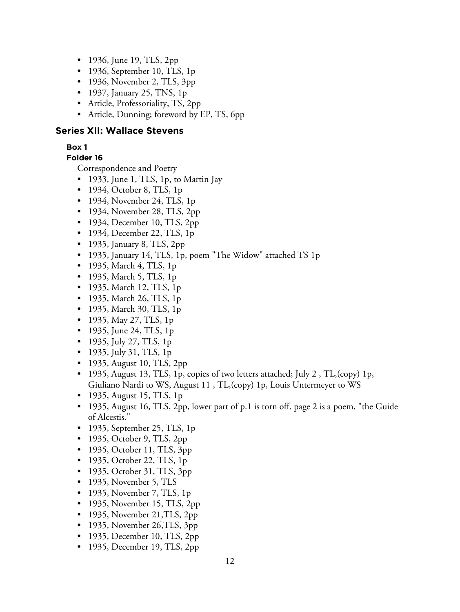- 1936, June 19, TLS, 2pp
- 1936, September 10, TLS, 1p
- 1936, November 2, TLS, 3pp
- 1937, January 25, TNS, 1p
- Article, Professoriality, TS, 2pp
- Article, Dunning; foreword by EP, TS, 6pp

#### **Series XII: Wallace Stevens**

#### **Box 1**

# **Folder 16**

- 1933, June 1, TLS, 1p, to Martin Jay
- 1934, October 8, TLS, 1p
- 1934, November 24, TLS, 1p
- 1934, November 28, TLS, 2pp
- 1934, December 10, TLS, 2pp
- 1934, December 22, TLS, 1p
- 1935, January 8, TLS, 2pp
- 1935, January 14, TLS, 1p, poem "The Widow" attached TS 1p
- 1935, March 4, TLS, 1p
- 1935, March 5, TLS, 1p
- 1935, March 12, TLS, 1<sub>p</sub>
- 1935, March 26, TLS, 1p
- 1935, March 30, TLS, 1p
- 1935, May 27, TLS, 1p
- 1935, June 24, TLS, 1p
- 1935, July 27, TLS, 1p
- 1935, July 31, TLS, 1p
- 1935, August 10, TLS, 2pp
- 1935, August 13, TLS, 1p, copies of two letters attached; July 2, TL, (copy) 1p, Giuliano Nardi to WS, August 11 , TL,(copy) 1p, Louis Untermeyer to WS
- 1935, August 15, TLS, 1p
- 1935, August 16, TLS, 2pp, lower part of p.1 is torn off. page 2 is a poem, "the Guide" of Alcestis."
- 1935, September 25, TLS, 1p
- 1935, October 9, TLS, 2pp
- 1935, October 11, TLS, 3pp
- 1935, October 22, TLS, 1p
- 1935, October 31, TLS, 3pp
- 1935, November 5, TLS
- 1935, November 7, TLS, 1p
- 1935, November 15, TLS, 2pp
- 1935, November 21, TLS, 2pp
- 1935, November 26, TLS, 3pp
- 1935, December 10, TLS, 2pp
- 1935, December 19, TLS, 2pp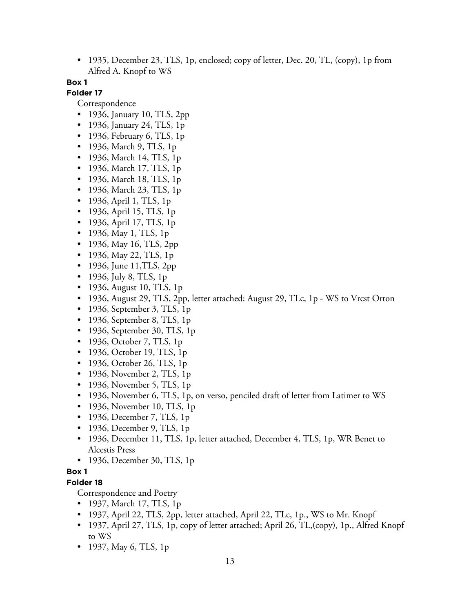• 1935, December 23, TLS, 1p, enclosed; copy of letter, Dec. 20, TL, (copy), 1p from Alfred A. Knopf to WS

#### **Box 1**

# **Folder 17**

Correspondence

- 1936, January 10, TLS, 2pp
- 1936, January 24, TLS, 1p
- 1936, February 6, TLS, 1p
- 1936, March 9, TLS, 1p
- 1936, March 14, TLS, 1p
- 1936, March 17, TLS, 1p
- 1936, March 18, TLS, 1p
- 1936, March 23, TLS, 1p
- 1936, April 1, TLS, 1<sub>p</sub>
- 1936, April 15, TLS, 1p
- 1936, April 17, TLS, 1p
- 1936, May 1, TLS, 1p
- 1936, May 16, TLS, 2pp
- 1936, May 22, TLS, 1p
- 1936, June 11, TLS, 2pp
- 1936, July 8, TLS, 1p
- 1936, August 10, TLS, 1p
- 1936, August 29, TLS, 2pp, letter attached: August 29, TLc, 1p WS to Vrcst Orton
- 1936, September 3, TLS, 1p
- 1936, September 8, TLS, 1p
- 1936, September 30, TLS, 1p
- 1936, October 7, TLS, 1p
- 1936, October 19, TLS, 1p
- 1936, October 26, TLS, 1p
- 1936, November 2, TLS, 1p
- 1936, November 5, TLS, 1p
- 1936, November 6, TLS, 1p, on verso, penciled draft of letter from Latimer to WS
- 1936, November 10, TLS, 1p
- 1936, December 7, TLS, 1p
- 1936, December 9, TLS, 1p
- 1936, December 11, TLS, 1p, letter attached, December 4, TLS, 1p, WR Benet to Alcestis Press
- 1936, December 30, TLS, 1p

# **Box 1**

## **Folder 18**

- 1937, March 17, TLS, 1p
- 1937, April 22, TLS, 2pp, letter attached, April 22, TLc, 1p., WS to Mr. Knopf
- 1937, April 27, TLS, 1p, copy of letter attached; April 26, TL, (copy), 1p., Alfred Knopf to WS
- 1937, May 6, TLS, 1p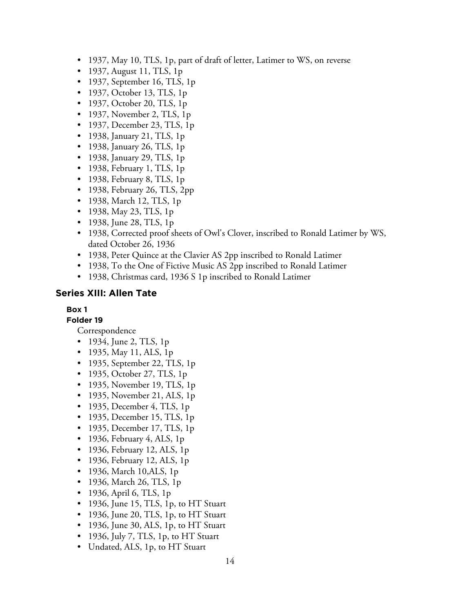- 1937, May 10, TLS, 1p, part of draft of letter, Latimer to WS, on reverse
- 1937, August 11, TLS, 1p
- 1937, September 16, TLS, 1p
- 1937, October 13, TLS, 1p
- 1937, October 20, TLS, 1p
- 1937, November 2, TLS, 1p
- 1937, December 23, TLS, 1p
- 1938, January 21, TLS, 1p
- 1938, January 26, TLS, 1p
- 1938, January 29, TLS, 1p
- 1938, February 1, TLS, 1p
- 1938, February 8, TLS, 1p
- 1938, February 26, TLS, 2pp
- 1938, March 12, TLS, 1p
- 1938, May 23, TLS, 1p
- 1938, June 28, TLS, 1p
- 1938, Corrected proof sheets of Owl's Clover, inscribed to Ronald Latimer by WS, dated October 26, 1936
- 1938, Peter Quince at the Clavier AS 2pp inscribed to Ronald Latimer
- 1938, To the One of Fictive Music AS 2pp inscribed to Ronald Latimer
- 1938, Christmas card, 1936 S 1p inscribed to Ronald Latimer

# **Series XIII: Allen Tate**

## **Box 1**

**Folder 19**

Correspondence

- 1934, June 2, TLS, 1p
- 1935, May 11, ALS, 1p
- 1935, September 22, TLS, 1p
- 1935, October 27, TLS, 1p
- 1935, November 19, TLS, 1p
- 1935, November 21, ALS, 1p
- 1935, December 4, TLS, 1p
- 1935, December 15, TLS, 1p
- 1935, December 17, TLS, 1p
- 1936, February 4, ALS, 1p
- 1936, February 12, ALS, 1p
- 1936, February 12, ALS, 1p
- 1936, March 10,ALS, 1p
- 1936, March 26, TLS, 1p
- 1936, April 6, TLS, 1p
- 1936, June 15, TLS, 1p, to HT Stuart
- 1936, June 20, TLS, 1p, to HT Stuart
- 1936, June 30, ALS, 1p, to HT Stuart
- 1936, July 7, TLS, 1p, to HT Stuart
- Undated, ALS, 1p, to HT Stuart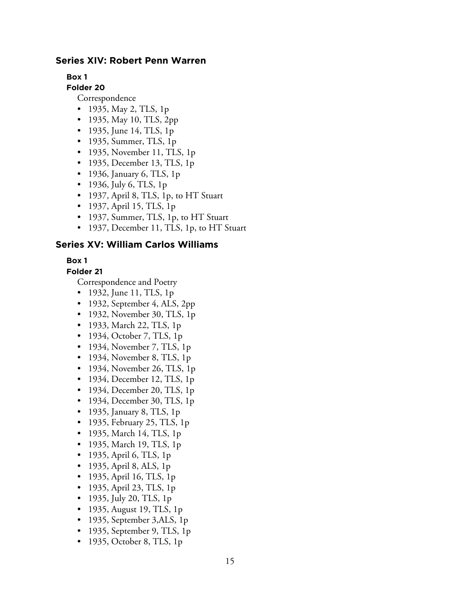#### **Series XIV: Robert Penn Warren**

**Box 1**

**Folder 20**

Correspondence

- 1935, May 2, TLS, 1p
- 1935, May 10, TLS, 2pp
- 1935, June 14, TLS, 1p
- 1935, Summer, TLS, 1p
- 1935, November 11, TLS, 1p
- 1935, December 13, TLS, 1p
- 1936, January 6, TLS, 1p
- 1936, July 6, TLS, 1p
- 1937, April 8, TLS, 1p, to HT Stuart
- 1937, April 15, TLS, 1p
- 1937, Summer, TLS, 1p, to HT Stuart
- 1937, December 11, TLS, 1p, to HT Stuart

#### **Series XV: William Carlos Williams**

#### **Box 1**

#### **Folder 21**

- 1932, June 11, TLS, 1p
- 1932, September 4, ALS, 2pp
- 1932, November 30, TLS, 1p
- 1933, March 22, TLS, 1p
- 1934, October 7, TLS, 1p
- 1934, November 7, TLS, 1p
- 1934, November 8, TLS, 1p
- 1934, November 26, TLS, 1p
- 1934, December 12, TLS, 1p
- 1934, December 20, TLS, 1p
- 1934, December 30, TLS, 1p
- 1935, January 8, TLS, 1p
- 1935, February 25, TLS, 1p
- 1935, March 14, TLS, 1p
- 1935, March 19, TLS, 1p
- 1935, April 6, TLS, 1p
- 1935, April 8, ALS, 1p
- 1935, April 16, TLS, 1p
- 1935, April 23, TLS, 1p
- 1935, July 20, TLS, 1p
- 1935, August 19, TLS, 1p
- 1935, September 3,ALS, 1p
- 1935, September 9, TLS, 1p
- 1935, October 8, TLS, 1p